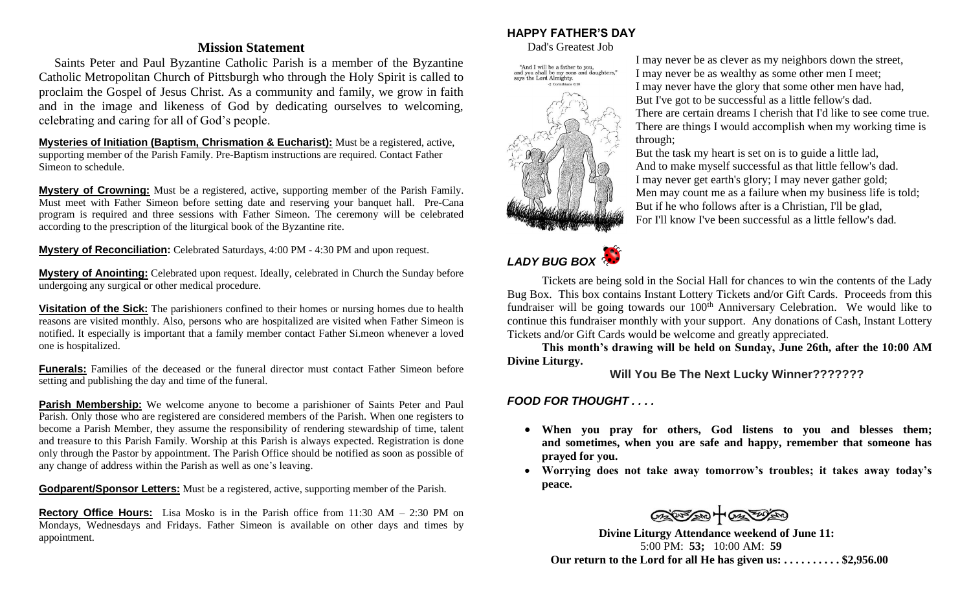### **Mission Statement**

 Saints Peter and Paul Byzantine Catholic Parish is a member of the Byzantine Catholic Metropolitan Church of Pittsburgh who through the Holy Spirit is called to proclaim the Gospel of Jesus Christ. As a community and family, we grow in faith and in the image and likeness of God by dedicating ourselves to welcoming, celebrating and caring for all of God's people.

**Mysteries of Initiation (Baptism, Chrismation & Eucharist):** Must be a registered, active, supporting member of the Parish Family. Pre-Baptism instructions are required. Contact Father Simeon to schedule.

**Mystery of Crowning:** Must be a registered, active, supporting member of the Parish Family. Must meet with Father Simeon before setting date and reserving your banquet hall. Pre-Cana program is required and three sessions with Father Simeon. The ceremony will be celebrated according to the prescription of the liturgical book of the Byzantine rite.

**Mystery of Reconciliation:** Celebrated Saturdays, 4:00 PM - 4:30 PM and upon request.

**Mystery of Anointing:** Celebrated upon request. Ideally, celebrated in Church the Sunday before undergoing any surgical or other medical procedure.

**Visitation of the Sick:** The parishioners confined to their homes or nursing homes due to health reasons are visited monthly. Also, persons who are hospitalized are visited when Father Simeon is notified. It especially is important that a family member contact Father Si.meon whenever a loved one is hospitalized.

**Funerals:** Families of the deceased or the funeral director must contact Father Simeon before setting and publishing the day and time of the funeral.

**Parish Membership:** We welcome anyone to become a parishioner of Saints Peter and Paul Parish. Only those who are registered are considered members of the Parish. When one registers to become a Parish Member, they assume the responsibility of rendering stewardship of time, talent and treasure to this Parish Family. Worship at this Parish is always expected. Registration is done only through the Pastor by appointment. The Parish Office should be notified as soon as possible of any change of address within the Parish as well as one's leaving.

**Godparent/Sponsor Letters:** Must be a registered, active, supporting member of the Parish.

**Rectory Office Hours:** Lisa Mosko is in the Parish office from 11:30 AM – 2:30 PM on Mondays, Wednesdays and Fridays. Father Simeon is available on other days and times by appointment.

# **HAPPY FATHER'S DAY**

Dad's Greatest Job



I may never be as clever as my neighbors down the street, I may never be as wealthy as some other men I meet; I may never have the glory that some other men have had, But I've got to be successful as a little fellow's dad. There are certain dreams I cherish that I'd like to see come true. There are things I would accomplish when my working time is through;

But the task my heart is set on is to guide a little lad, And to make myself successful as that little fellow's dad. I may never get earth's glory; I may never gather gold; Men may count me as a failure when my business life is told; But if he who follows after is a Christian, I'll be glad, For I'll know I've been successful as a little fellow's dad.



Tickets are being sold in the Social Hall for chances to win the contents of the Lady Bug Box. This box contains Instant Lottery Tickets and/or Gift Cards. Proceeds from this fundraiser will be going towards our 100<sup>th</sup> Anniversary Celebration. We would like to continue this fundraiser monthly with your support. Any donations of Cash, Instant Lottery Tickets and/or Gift Cards would be welcome and greatly appreciated.

**This month's drawing will be held on Sunday, June 26th, after the 10:00 AM Divine Liturgy.** 

**Will You Be The Next Lucky Winner???????**

*FOOD FOR THOUGHT . . . .*

- **When you pray for others, God listens to you and blesses them; and sometimes, when you are safe and happy, remember that someone has prayed for you.**
- **Worrying does not take away tomorrow's troubles; it takes away today's peace.**

 $70-100$ 

**Divine Liturgy Attendance weekend of June 11:** 5:00 PM: **53;** 10:00 AM: **59 Our return to the Lord for all He has given us: . . . . . . . . . . \$2,956.00**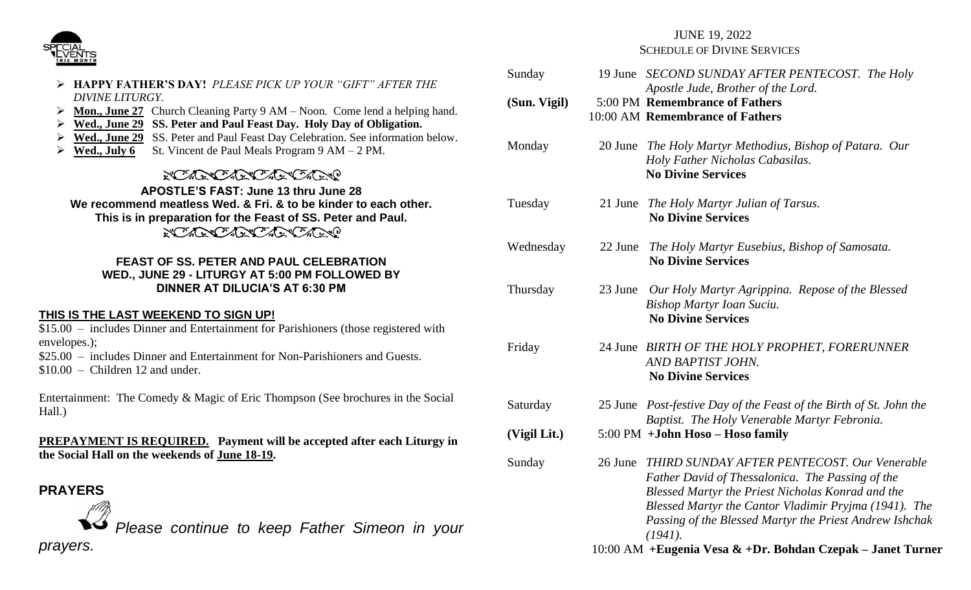

- ➢ **HAPPY FATHER'S DAY!** *PLEASE PICK UP YOUR "GIFT" AFTER THE DIVINE LITURGY.*
- ➢ **Mon., June 27** Church Cleaning Party 9 AM Noon. Come lend a helping hand.
- ➢ **Wed., June 29 SS. Peter and Paul Feast Day. Holy Day of Obligation.**
- ➢ **Wed., June 29** SS. Peter and Paul Feast Day Celebration. See information below.
- **Wed., July 6** St. Vincent de Paul Meals Program  $9 AM 2 PM$ .

# NO ARACTER CARDO

**APOSTLE'S FAST: June 13 thru June 28 We recommend meatless Wed. & Fri. & to be kinder to each other. This is in preparation for the Feast of SS. Peter and Paul.** *REAR CARDARY CARRO* 

### **FEAST OF SS. PETER AND PAUL CELEBRATION WED., JUNE 29 - LITURGY AT 5:00 PM FOLLOWED BY DINNER AT DILUCIA'S AT 6:30 PM**

### **THIS IS THE LAST WEEKEND TO SIGN UP!**

\$15.00 – includes Dinner and Entertainment for Parishioners (those registered with envelopes.);

\$25.00 – includes Dinner and Entertainment for Non-Parishioners and Guests. \$10.00 – Children 12 and under.

Entertainment: The Comedy & Magic of Eric Thompson (See brochures in the Social Hall.)

**PREPAYMENT IS REQUIRED. Payment will be accepted after each Liturgy in the Social Hall on the weekends of June 18-19.**

## **PRAYERS**

*Please continue to keep Father Simeon in your prayers.* 

# JUNE 19, 2022 SCHEDULE OF DIVINE SERVICES

| Sunday       |         | 19 June SECOND SUNDAY AFTER PENTECOST. The Holy<br>Apostle Jude, Brother of the Lord.                                                                                                                                                                                                  |
|--------------|---------|----------------------------------------------------------------------------------------------------------------------------------------------------------------------------------------------------------------------------------------------------------------------------------------|
| (Sun. Vigil) |         | 5:00 PM Remembrance of Fathers<br>10:00 AM Remembrance of Fathers                                                                                                                                                                                                                      |
| Monday       |         | 20 June The Holy Martyr Methodius, Bishop of Patara. Our<br>Holy Father Nicholas Cabasilas.<br><b>No Divine Services</b>                                                                                                                                                               |
| Tuesday      |         | 21 June The Holy Martyr Julian of Tarsus.<br><b>No Divine Services</b>                                                                                                                                                                                                                 |
| Wednesday    |         | 22 June The Holy Martyr Eusebius, Bishop of Samosata.<br><b>No Divine Services</b>                                                                                                                                                                                                     |
| Thursday     | 23 June | Our Holy Martyr Agrippina. Repose of the Blessed<br><b>Bishop Martyr Ioan Suciu.</b><br><b>No Divine Services</b>                                                                                                                                                                      |
| Friday       |         | 24 June BIRTH OF THE HOLY PROPHET, FORERUNNER<br>AND BAPTIST JOHN.<br><b>No Divine Services</b>                                                                                                                                                                                        |
| Saturday     |         | 25 June Post-festive Day of the Feast of the Birth of St. John the<br>Baptist. The Holy Venerable Martyr Febronia.                                                                                                                                                                     |
| (Vigil Lit.) |         | 5:00 PM + John Hoso - Hoso family                                                                                                                                                                                                                                                      |
| Sunday       | 26 June | THIRD SUNDAY AFTER PENTECOST. Our Venerable<br>Father David of Thessalonica. The Passing of the<br>Blessed Martyr the Priest Nicholas Konrad and the<br>Blessed Martyr the Cantor Vladimir Pryjma (1941). The<br>Passing of the Blessed Martyr the Priest Andrew Ishchak<br>$(1941)$ . |
|              |         | 10:00 AM + Eugenia Vesa & + Dr. Bohdan Czepak – Janet Turne                                                                                                                                                                                                                            |